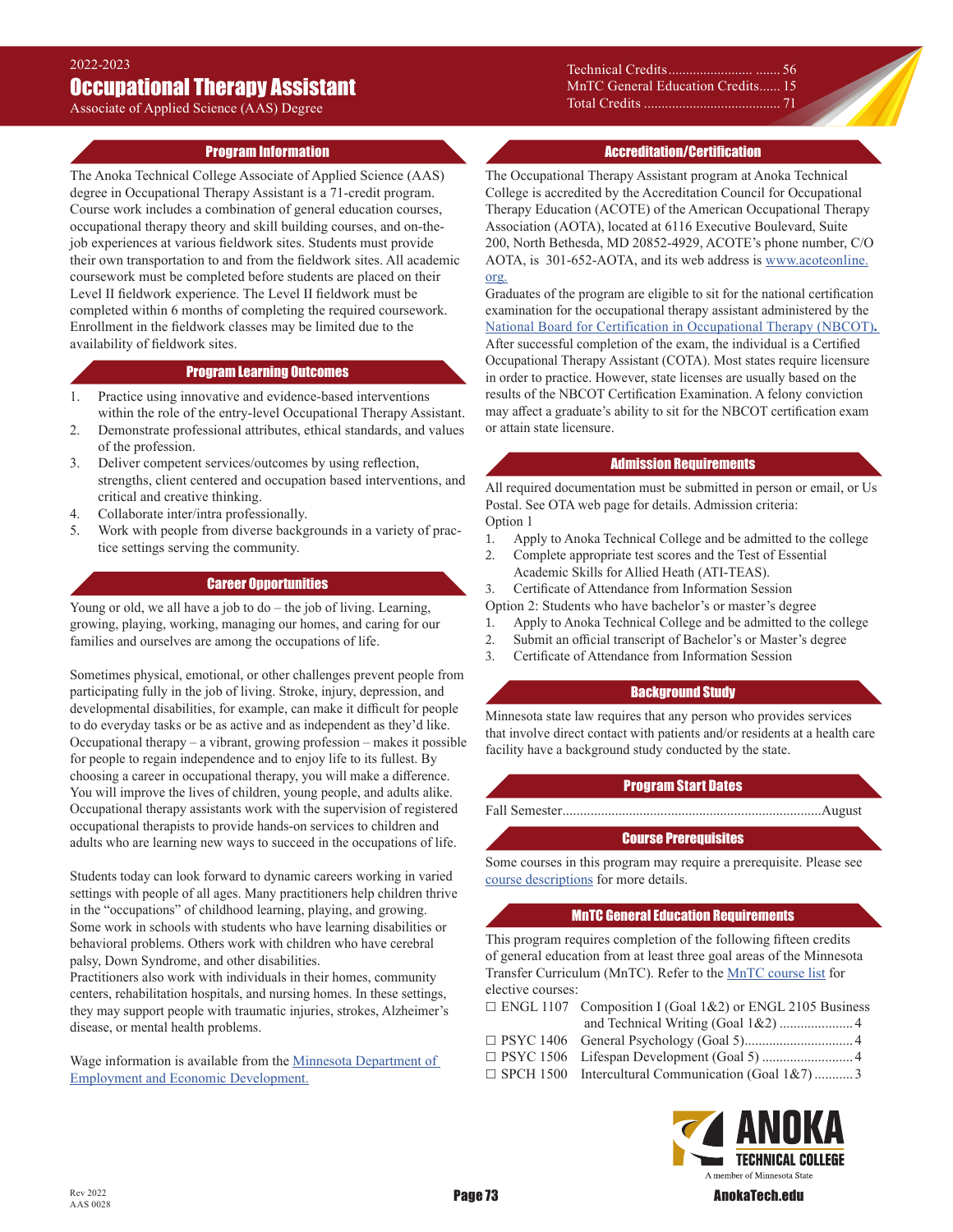Associate of Applied Science (AAS) Degree

## Program Information

The Anoka Technical College Associate of Applied Science (AAS) degree in Occupational Therapy Assistant is a 71-credit program. Course work includes a combination of general education courses, occupational therapy theory and skill building courses, and on-thejob experiences at various fieldwork sites. Students must provide their own transportation to and from the fieldwork sites. All academic coursework must be completed before students are placed on their Level II fieldwork experience. The Level II fieldwork must be completed within 6 months of completing the required coursework. Enrollment in the fieldwork classes may be limited due to the availability of fieldwork sites.

#### Program Learning Outcomes

- 1. Practice using innovative and evidence-based interventions within the role of the entry-level Occupational Therapy Assistant.
- 2. Demonstrate professional attributes, ethical standards, and values of the profession.
- 3. Deliver competent services/outcomes by using reflection, strengths, client centered and occupation based interventions, and critical and creative thinking.
- 4. Collaborate inter/intra professionally.
- 5. Work with people from diverse backgrounds in a variety of practice settings serving the community.

#### Career Opportunities

Young or old, we all have a job to do – the job of living. Learning, growing, playing, working, managing our homes, and caring for our families and ourselves are among the occupations of life.

Sometimes physical, emotional, or other challenges prevent people from participating fully in the job of living. Stroke, injury, depression, and developmental disabilities, for example, can make it difficult for people to do everyday tasks or be as active and as independent as they'd like. Occupational therapy – a vibrant, growing profession – makes it possible for people to regain independence and to enjoy life to its fullest. By choosing a career in occupational therapy, you will make a difference. You will improve the lives of children, young people, and adults alike. Occupational therapy assistants work with the supervision of registered occupational therapists to provide hands-on services to children and adults who are learning new ways to succeed in the occupations of life.

Students today can look forward to dynamic careers working in varied settings with people of all ages. Many practitioners help children thrive in the "occupations" of childhood learning, playing, and growing. Some work in schools with students who have learning disabilities or behavioral problems. Others work with children who have cerebral palsy, Down Syndrome, and other disabilities.

Practitioners also work with individuals in their homes, community centers, rehabilitation hospitals, and nursing homes. In these settings, they may support people with traumatic injuries, strokes, Alzheimer's disease, or mental health problems.

Wage information is available from the **Minnesota Department of** [Employment and Economic Developme](https://mn.gov/deed/job-seekers/job-outlook/)nt.

Technical Credits........................ ....... 56 MnTC General Education Credits ...... 15 Total Credits ....................................... 71

## Accreditation/Certification

The Occupational Therapy Assistant program at Anoka Technical College is accredited by the Accreditation Council for Occupational Therapy Education (ACOTE) of the American Occupational Therapy Association (AOTA), located at 6116 Executive Boulevard, Suite 200, North Bethesda, MD 20852-4929, ACOTE's phone number, C/O AOTA, is 301-652-AOTA, and its web address is [www.acoteonline.](http://www.acoteonline.org.) [org.](http://www.acoteonline.org.)

Graduates of the program are eligible to sit for the national certification examination for the occupational therapy assistant administered by the [National Board for Certification in Occupational Therapy \(NBCOT\)](https://www.nbcot.org/). After successful completion of the exam, the individual is a Certified Occupational Therapy Assistant (COTA). Most states require licensure in order to practice. However, state licenses are usually based on the results of the NBCOT Certification Examination. A felony conviction may affect a graduate's ability to sit for the NBCOT certification exam or attain state licensure.

#### Admission Requirements

All required documentation must be submitted in person or email, or Us Postal. See OTA web page for details. Admission criteria: Option 1

- 1. Apply to Anoka Technical College and be admitted to the college<br>2. Complete appropriate test scores and the Test of Essential
- 2. Complete appropriate test scores and the Test of Essential Academic Skills for Allied Heath (ATI-TEAS).

3. Certificate of Attendance from Information Session

- Option 2: Students who have bachelor's or master's degree
- 1. Apply to Anoka Technical College and be admitted to the college<br>2. Submit an official transcript of Bachelor's or Master's degree
- 2. Submit an official transcript of Bachelor's or Master's degree<br>3. Certificate of Attendance from Information Session
- 3. Certificate of Attendance from Information Session

# Background Study

Minnesota state law requires that any person who provides services that involve direct contact with patients and/or residents at a health care facility have a background study conducted by the state.

## Program Start Dates

Fall Semester..........................................................................August

# Course Prerequisites

Some courses in this program may require a prerequisite. Please see [course descriptions](http://www.anokatech.edu/ProgramsCourses/CourseList_Descriptions ) for more details.

## MnTC General Education Requirements

This program requires completion of the following fifteen credits of general education from at least three goal areas of the Minnesota Transfer Curriculum (MnTC). Refer to the [MnTC course list](http://www.anokatech.edu/BecomeStudent/Transfers/MnTC) for elective courses:

| $\Box$ ENGL 1107 Composition I (Goal 1&2) or ENGL 2105 Business |
|-----------------------------------------------------------------|
|                                                                 |
|                                                                 |
|                                                                 |
| $\Box$ SPCH 1500 Intercultural Communication (Goal 1&7) 3       |
|                                                                 |